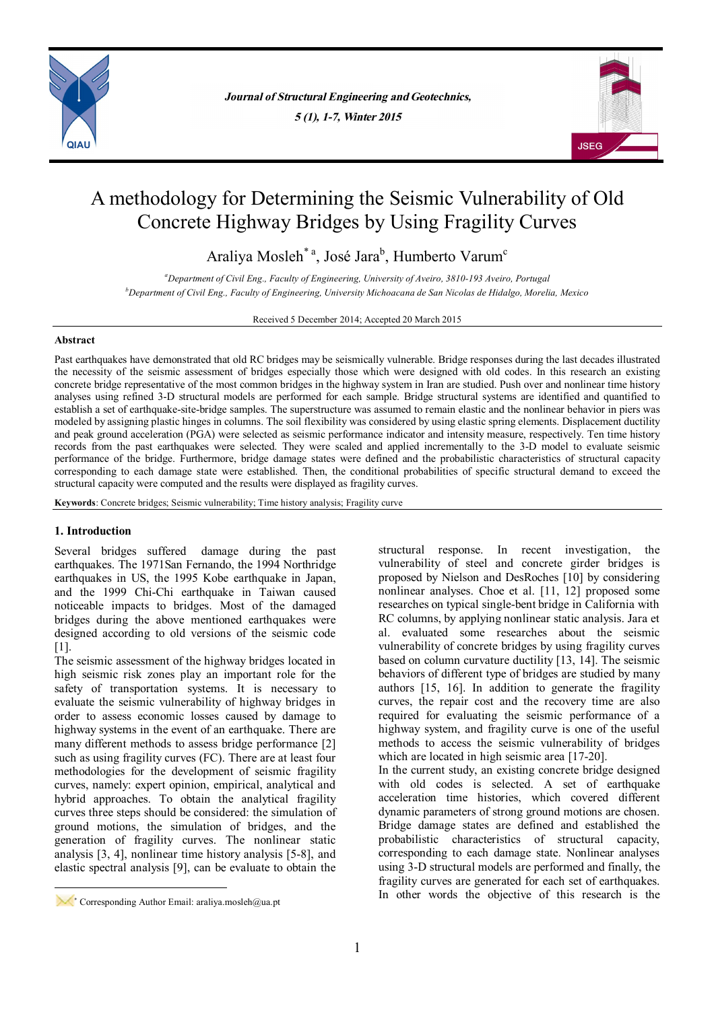

*Journal of Structural Engineering and Geotechnics, 5 (1), 1-7, Winter 2015*



# A methodology for Determining the Seismic Vulnerability of Old Concrete Highway Bridges by Using Fragility Curves

Araliya Mosleh<sup>\*a</sup>, José Jara<sup>b</sup>, Humberto Varum<sup>c</sup>

*<sup>a</sup>Department of Civil Eng., Faculty of Engineering, University of Aveiro, 3810-193 Aveiro, Portugal <sup>b</sup>Department of Civil Eng., Faculty of Engineering, University Michoacana de San Nicolas de Hidalgo, Morelia, Mexico*

Received 5 December 2014; Accepted 20 March 2015

#### **Abstract**

Past earthquakes have demonstrated that old RC bridges may be seismically vulnerable. Bridge responses during the last decades illustrated the necessity of the seismic assessment of bridges especially those which were designed with old codes. In this research an existing concrete bridge representative of the most common bridges in the highway system in Iran are studied. Push over and nonlinear time history analyses using refined 3-D structural models are performed for each sample. Bridge structural systems are identified and quantified to establish a set of earthquake-site-bridge samples. The superstructure was assumed to remain elastic and the nonlinear behavior in piers was modeled by assigning plastic hinges in columns. The soil flexibility was considered by using elastic spring elements. Displacement ductility and peak ground acceleration (PGA) were selected as seismic performance indicator and intensity measure, respectively. Ten time history records from the past earthquakes were selected. They were scaled and applied incrementally to the 3-D model to evaluate seismic performance of the bridge. Furthermore, bridge damage states were defined and the probabilistic characteristics of structural capacity corresponding to each damage state were established. Then, the conditional probabilities of specific structural demand to exceed the structural capacity were computed and the results were displayed as fragility curves.

**Keywords**: Concrete bridges; Seismic vulnerability; Time history analysis; Fragility curve

# **1. Introduction**

1

Several bridges suffered damage during the past earthquakes. The 1971San Fernando, the 1994 Northridge earthquakes in US, the 1995 Kobe earthquake in Japan, and the 1999 Chi-Chi earthquake in Taiwan caused noticeable impacts to bridges. Most of the damaged bridges during the above mentioned earthquakes were designed according to old versions of the seismic code [1].

The seismic assessment of the highway bridges located in high seismic risk zones play an important role for the safety of transportation systems. It is necessary to evaluate the seismic vulnerability of highway bridges in order to assess economic losses caused by damage to highway systems in the event of an earthquake. There are many different methods to assess bridge performance [2] such as using fragility curves (FC). There are at least four methodologies for the development of seismic fragility curves, namely: expert opinion, empirical, analytical and hybrid approaches. To obtain the analytical fragility curves three steps should be considered: the simulation of ground motions, the simulation of bridges, and the generation of fragility curves. The nonlinear static analysis [3, 4], nonlinear time history analysis [5-8], and elastic spectral analysis [9], can be evaluate to obtain the

structural response. In recent investigation, the vulnerability of steel and concrete girder bridges is proposed by Nielson and DesRoches [10] by considering nonlinear analyses. Choe et al. [11, 12] proposed some researches on typical single-bent bridge in California with RC columns, by applying nonlinear static analysis. Jara et al. evaluated some researches about the seismic vulnerability of concrete bridges by using fragility curves based on column curvature ductility [13, 14]. The seismic behaviors of different type of bridges are studied by many authors [15, 16]. In addition to generate the fragility curves, the repair cost and the recovery time are also required for evaluating the seismic performance of a highway system, and fragility curve is one of the useful methods to access the seismic vulnerability of bridges which are located in high seismic area [17-20].

In the current study, an existing concrete bridge designed with old codes is selected. A set of earthquake acceleration time histories, which covered different dynamic parameters of strong ground motions are chosen. Bridge damage states are defined and established the probabilistic characteristics of structural capacity, corresponding to each damage state. Nonlinear analyses using 3-D structural models are performed and finally, the fragility curves are generated for each set of earthquakes. In other words the objective of this research is the

Corresponding Author Email: araliya.mosleh@ua.pt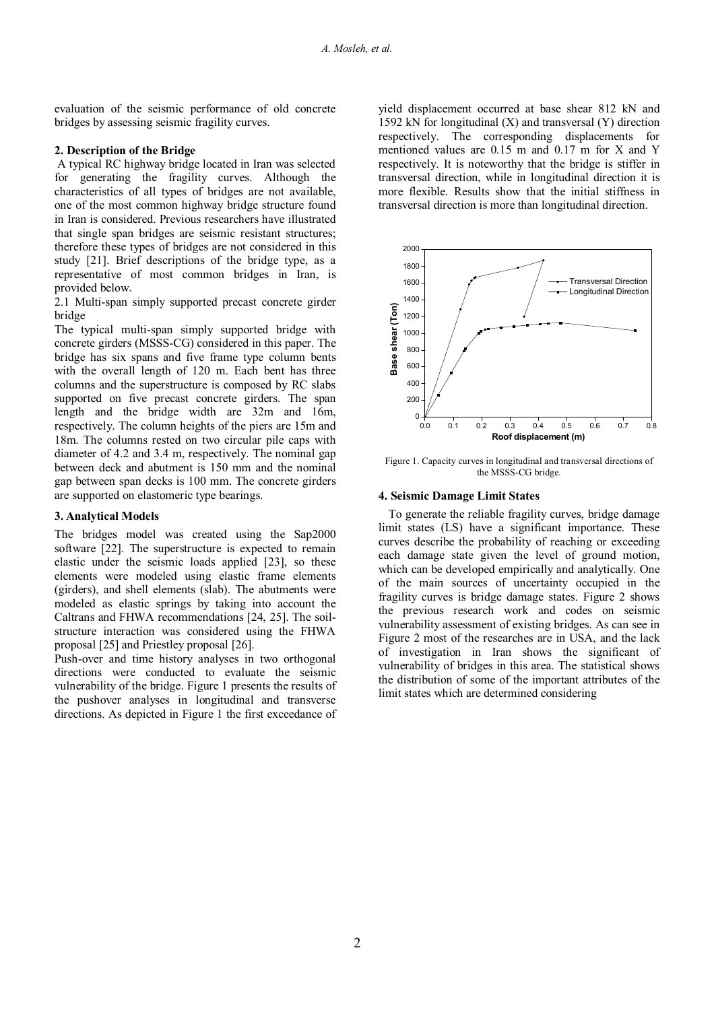evaluation of the seismic performance of old concrete bridges by assessing seismic fragility curves.

# **2. Description of the Bridge**

A typical RC highway bridge located in Iran was selected for generating the fragility curves. Although the characteristics of all types of bridges are not available, one of the most common highway bridge structure found in Iran is considered. Previous researchers have illustrated that single span bridges are seismic resistant structures; therefore these types of bridges are not considered in this study [21]. Brief descriptions of the bridge type, as a representative of most common bridges in Iran, is provided below**.**

2.1 Multi-span simply supported precast concrete girder bridge

The typical multi-span simply supported bridge with concrete girders (MSSS-CG) considered in this paper. The bridge has six spans and five frame type column bents with the overall length of 120 m. Each bent has three columns and the superstructure is composed by RC slabs supported on five precast concrete girders. The span length and the bridge width are 32m and 16m, respectively. The column heights of the piers are 15m and 18m. The columns rested on two circular pile caps with diameter of 4.2 and 3.4 m, respectively. The nominal gap between deck and abutment is 150 mm and the nominal gap between span decks is 100 mm. The concrete girders are supported on elastomeric type bearings.

#### **3. Analytical Models**

The bridges model was created using the Sap2000 software [22]. The superstructure is expected to remain elastic under the seismic loads applied [23], so these elements were modeled using elastic frame elements (girders), and shell elements (slab). The abutments were modeled as elastic springs by taking into account the Caltrans and FHWA recommendations [24, 25]. The soilstructure interaction was considered using the FHWA proposal [25] and Priestley proposal [26].

Push-over and time history analyses in two orthogonal directions were conducted to evaluate the seismic vulnerability of the bridge. Figure 1 presents the results of the pushover analyses in longitudinal and transverse directions. As depicted in Figure 1 the first exceedance of yield displacement occurred at base shear 812 kN and 1592 kN for longitudinal (X) and transversal (Y) direction respectively. The corresponding displacements for mentioned values are 0.15 m and 0.17 m for X and Y respectively. It is noteworthy that the bridge is stiffer in transversal direction, while in longitudinal direction it is more flexible. Results show that the initial stiffness in transversal direction is more than longitudinal direction.



Figure 1. Capacity curves in longitudinal and transversal directions of the MSSS-CG bridge.

#### **4. Seismic Damage Limit States**

To generate the reliable fragility curves, bridge damage limit states (LS) have a significant importance. These curves describe the probability of reaching or exceeding each damage state given the level of ground motion, which can be developed empirically and analytically. One of the main sources of uncertainty occupied in the fragility curves is bridge damage states. Figure 2 shows the previous research work and codes on seismic vulnerability assessment of existing bridges. As can see in Figure 2 most of the researches are in USA, and the lack of investigation in Iran shows the significant of vulnerability of bridges in this area. The statistical shows the distribution of some of the important attributes of the limit states which are determined considering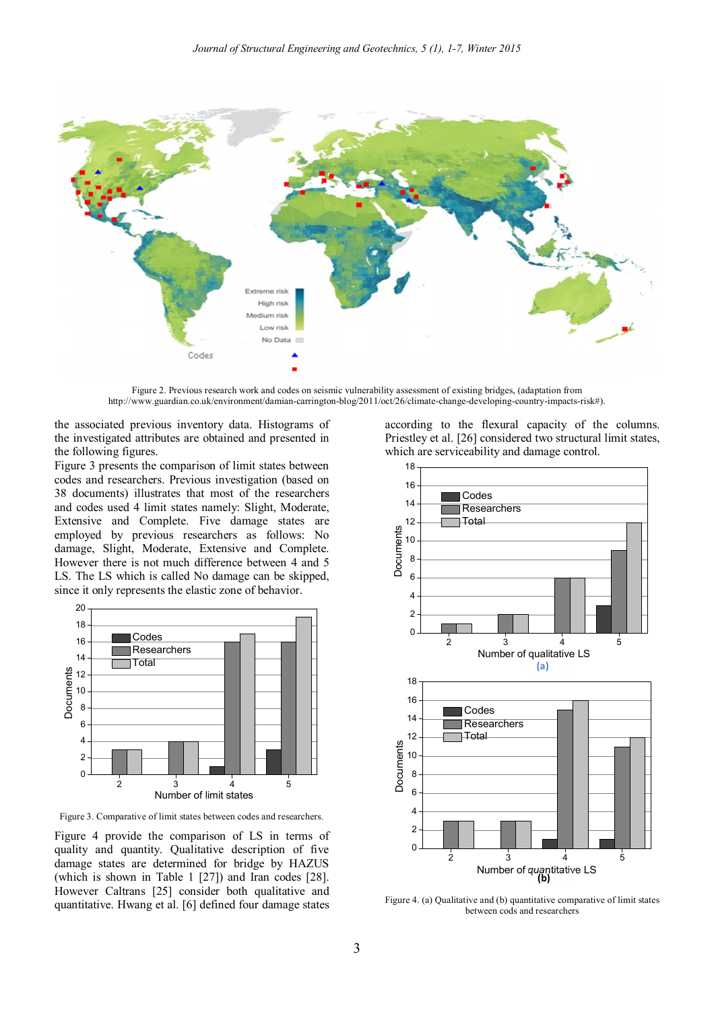

Figure 2. Previous research work and codes on seismic vulnerability assessment of existing bridges, (adaptation from http://www.guardian.co.uk/environment/damian-carrington-blog/2011/oct/26/climate-change-developing-country-impacts-risk#).

the associated previous inventory data. Histograms of the investigated attributes are obtained and presented in the following figures.

Figure 3 presents the comparison of limit states between codes and researchers. Previous investigation (based on 38 documents) illustrates that most of the researchers and codes used 4 limit states namely: Slight, Moderate, Extensive and Complete. Five damage states are employed by previous researchers as follows: No damage, Slight, Moderate, Extensive and Complete. However there is not much difference between 4 and 5 LS. The LS which is called No damage can be skipped, since it only represents the elastic zone of behavior.



Figure 3. Comparative of limit states between codes and researchers.

Figure 4 provide the comparison of LS in terms of quality and quantity. Qualitative description of five damage states are determined for bridge by HAZUS (which is shown in Table 1 [27]) and Iran codes [28]. However Caltrans [25] consider both qualitative and quantitative. Hwang et al. [6] defined four damage states according to the flexural capacity of the columns. Priestley et al. [26] considered two structural limit states, which are serviceability and damage control.



Figure 4. (a) Qualitative and (b) quantitative comparative of limit states between cods and researchers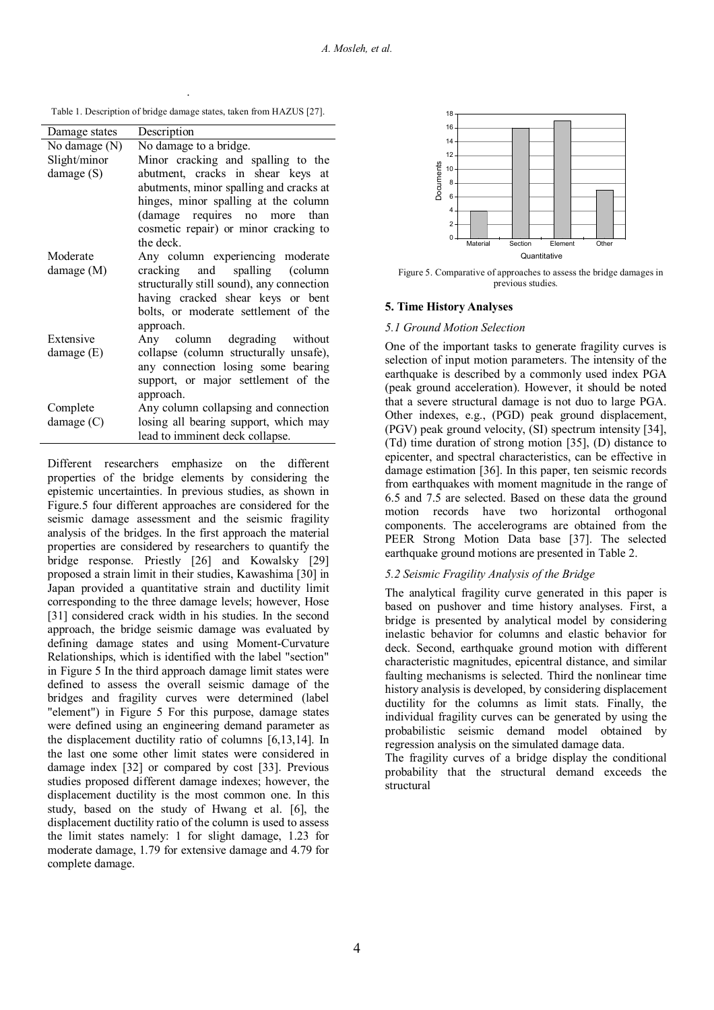. Table 1. Description of bridge damage states, taken from HAZUS [27].

| Damage states       | Description                                                                                                                                                                                                 |  |  |  |
|---------------------|-------------------------------------------------------------------------------------------------------------------------------------------------------------------------------------------------------------|--|--|--|
| No damage (N)       | No damage to a bridge.                                                                                                                                                                                      |  |  |  |
| Slight/minor        | Minor cracking and spalling to the                                                                                                                                                                          |  |  |  |
| $\text{damage}$ (S) | abutment, cracks in shear keys at<br>abutments, minor spalling and cracks at<br>hinges, minor spalling at the column<br>(damage requires no more than<br>cosmetic repair) or minor cracking to<br>the deck. |  |  |  |
| Moderate            | Any column experiencing moderate                                                                                                                                                                            |  |  |  |
| damage (M)          | cracking and spalling (column<br>structurally still sound), any connection<br>having cracked shear keys or bent<br>bolts, or moderate settlement of the<br>approach.                                        |  |  |  |
| Extensive           | Any column degrading without                                                                                                                                                                                |  |  |  |
| damage $(E)$        | collapse (column structurally unsafe),<br>any connection losing some bearing<br>support, or major settlement of the<br>approach.                                                                            |  |  |  |
| Complete            | Any column collapsing and connection                                                                                                                                                                        |  |  |  |
| damage $(C)$        | losing all bearing support, which may<br>lead to imminent deck collapse.                                                                                                                                    |  |  |  |

Different researchers emphasize on the different properties of the bridge elements by considering the epistemic uncertainties. In previous studies, as shown in Figure.5 four different approaches are considered for the seismic damage assessment and the seismic fragility analysis of the bridges. In the first approach the material properties are considered by researchers to quantify the bridge response. Priestly [26] and Kowalsky [29] proposed a strain limit in their studies, Kawashima [30] in Japan provided a quantitative strain and ductility limit corresponding to the three damage levels; however, Hose [31] considered crack width in his studies. In the second approach, the bridge seismic damage was evaluated by defining damage states and using Moment-Curvature Relationships, which is identified with the label "section" in Figure 5 In the third approach damage limit states were defined to assess the overall seismic damage of the bridges and fragility curves were determined (label "element") in Figure 5 For this purpose, damage states were defined using an engineering demand parameter as the displacement ductility ratio of columns [6,13,14]. In the last one some other limit states were considered in damage index [32] or compared by cost [33]. Previous studies proposed different damage indexes; however, the displacement ductility is the most common one. In this study, based on the study of Hwang et al. [6], the displacement ductility ratio of the column is used to assess the limit states namely: 1 for slight damage, 1.23 for moderate damage, 1.79 for extensive damage and 4.79 for complete damage.



Figure 5. Comparative of approaches to assess the bridge damages in previous studies.

# **5. Time History Analyses**

#### *5.1 Ground Motion Selection*

One of the important tasks to generate fragility curves is selection of input motion parameters. The intensity of the earthquake is described by a commonly used index PGA (peak ground acceleration). However, it should be noted that a severe structural damage is not duo to large PGA. Other indexes, e.g., (PGD) peak ground displacement, (PGV) peak ground velocity, (SI) spectrum intensity [34], (Td) time duration of strong motion [35], (D) distance to epicenter, and spectral characteristics, can be effective in damage estimation [36]. In this paper, ten seismic records from earthquakes with moment magnitude in the range of 6.5 and 7.5 are selected. Based on these data the ground motion records have two horizontal orthogonal components. The accelerograms are obtained from the PEER Strong Motion Data base [37]. The selected earthquake ground motions are presented in Table 2.

# *5.2 Seismic Fragility Analysis of the Bridge*

The analytical fragility curve generated in this paper is based on pushover and time history analyses. First, a bridge is presented by analytical model by considering inelastic behavior for columns and elastic behavior for deck. Second, earthquake ground motion with different characteristic magnitudes, epicentral distance, and similar faulting mechanisms is selected. Third the nonlinear time history analysis is developed, by considering displacement ductility for the columns as limit stats. Finally, the individual fragility curves can be generated by using the probabilistic seismic demand model obtained by regression analysis on the simulated damage data.

The fragility curves of a bridge display the conditional probability that the structural demand exceeds the structural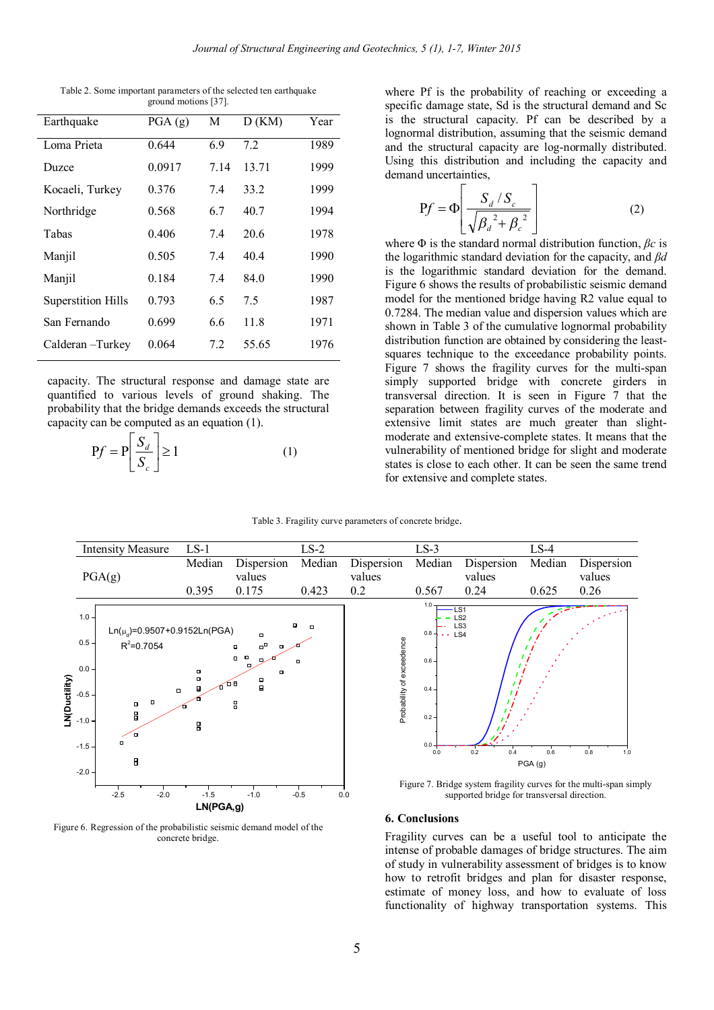| Earthquake                | PGA(g) | M    | D(KM) | Year |
|---------------------------|--------|------|-------|------|
| Loma Prieta               | 0.644  | 6.9  | 7.2   | 1989 |
| Duzce                     | 0.0917 | 7.14 | 13.71 | 1999 |
| Kocaeli, Turkey           | 0.376  | 7.4  | 33.2  | 1999 |
| Northridge                | 0.568  | 6.7  | 40.7  | 1994 |
| Tabas                     | 0.406  | 7.4  | 20.6  | 1978 |
| Manjil                    | 0.505  | 7.4  | 40.4  | 1990 |
| Manjil                    | 0.184  | 7.4  | 84.0  | 1990 |
| <b>Superstition Hills</b> | 0.793  | 6.5  | 7.5   | 1987 |
| San Fernando              | 0.699  | 6.6  | 11.8  | 1971 |
| Calderan –Turkey          | 0.064  | 7.2  | 55.65 | 1976 |
|                           |        |      |       |      |

Table 2. Some important parameters of the selected ten earthquake ground motions [37].

capacity. The structural response and damage state are quantified to various levels of ground shaking. The probability that the bridge demands exceeds the structural capacity can be computed as an equation (1).

$$
Pf = P\left[\frac{S_d}{S_c}\right] \ge 1\tag{1}
$$

Figure 6. Regression of the probabilistic seismic demand model of the concrete bridge.

where Pf is the probability of reaching or exceeding a specific damage state, Sd is the structural demand and Sc is the structural capacity. Pf can be described by a lognormal distribution, assuming that the seismic demand and the structural capacity are log-normally distributed. Using this distribution and including the capacity and demand uncertainties,

$$
Pf = \Phi \left[ \frac{S_d / S_c}{\sqrt{\beta_d^2 + \beta_c^2}} \right]
$$
 (2)

where Φ is the standard normal distribution function, *βc* is the logarithmic standard deviation for the capacity, and *βd* is the logarithmic standard deviation for the demand. Figure 6 shows the results of probabilistic seismic demand model for the mentioned bridge having R2 value equal to 0.7284. The median value and dispersion values which are shown in Table 3 of the cumulative lognormal probability distribution function are obtained by considering the leastsquares technique to the exceedance probability points. Figure 7 shows the fragility curves for the multi-span simply supported bridge with concrete girders in transversal direction. It is seen in Figure 7 that the separation between fragility curves of the moderate and extensive limit states are much greater than slightmoderate and extensive-complete states. It means that the vulnerability of mentioned bridge for slight and moderate states is close to each other. It can be seen the same trend for extensive and complete states.

#### Table 3. Fragility curve parameters of concrete bridge.



#### **6. Conclusions**

Fragility curves can be a useful tool to anticipate the intense of probable damages of bridge structures. The aim of study in vulnerability assessment of bridges is to know how to retrofit bridges and plan for disaster response, estimate of money loss, and how to evaluate of loss functionality of highway transportation systems. This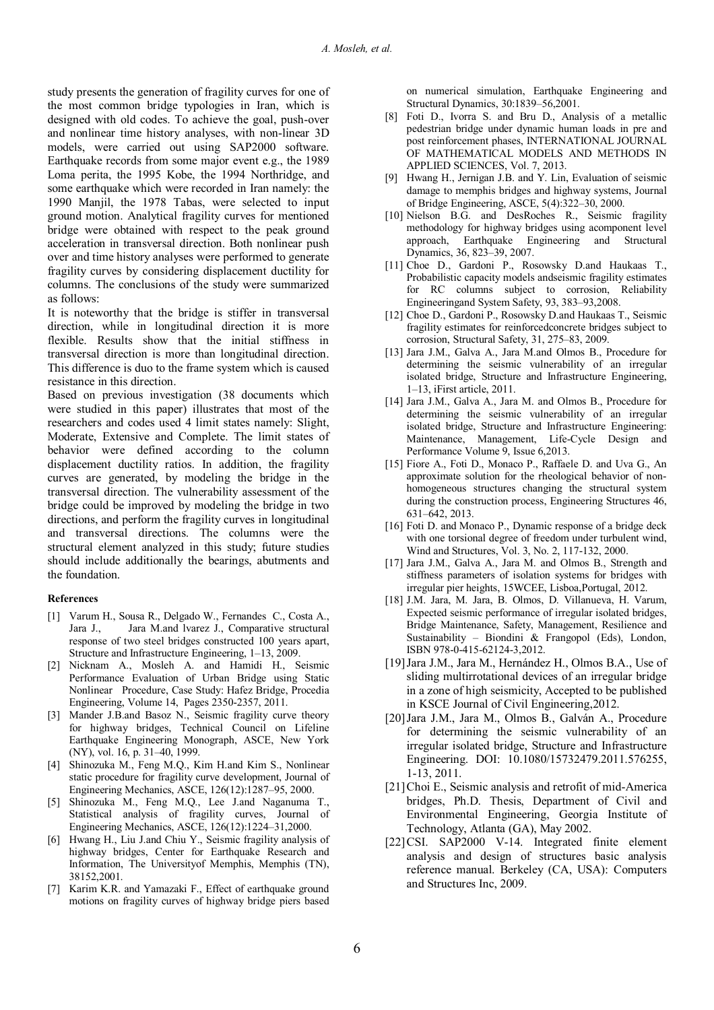study presents the generation of fragility curves for one of the most common bridge typologies in Iran, which is designed with old codes. To achieve the goal, push-over and nonlinear time history analyses, with non-linear 3D models, were carried out using SAP2000 software. Earthquake records from some major event e.g., the 1989 Loma perita, the 1995 Kobe, the 1994 Northridge, and some earthquake which were recorded in Iran namely: the 1990 Manjil, the 1978 Tabas, were selected to input ground motion. Analytical fragility curves for mentioned bridge were obtained with respect to the peak ground acceleration in transversal direction. Both nonlinear push over and time history analyses were performed to generate fragility curves by considering displacement ductility for columns. The conclusions of the study were summarized as follows:

It is noteworthy that the bridge is stiffer in transversal direction, while in longitudinal direction it is more flexible. Results show that the initial stiffness in transversal direction is more than longitudinal direction. This difference is duo to the frame system which is caused resistance in this direction.

Based on previous investigation (38 documents which were studied in this paper) illustrates that most of the researchers and codes used 4 limit states namely: Slight, Moderate, Extensive and Complete. The limit states of behavior were defined according to the column displacement ductility ratios. In addition, the fragility curves are generated, by modeling the bridge in the transversal direction. The vulnerability assessment of the bridge could be improved by modeling the bridge in two directions, and perform the fragility curves in longitudinal and transversal directions. The columns were the structural element analyzed in this study; future studies should include additionally the bearings, abutments and the foundation.

# **References**

- [1] Varum H., Sousa R., Delgado W., Fernandes C., Costa A., Jara J., Jara M.and lvarez J., Comparative structural response of two steel bridges constructed 100 years apart, Structure and Infrastructure Engineering, 1–13, 2009.
- [2] Nicknam A., Mosleh A. and Hamidi H., Seismic Performance Evaluation of Urban Bridge using Static Nonlinear Procedure, Case Study: Hafez Bridge, Procedia Engineering, Volume 14, Pages 2350-2357, 2011.
- [3] Mander J.B.and Basoz N., Seismic fragility curve theory for highway bridges, Technical Council on Lifeline Earthquake Engineering Monograph, ASCE, New York (NY), vol. 16, p. 31–40, 1999.
- [4] Shinozuka M., Feng M.Q., Kim H.and Kim S., Nonlinear static procedure for fragility curve development, Journal of Engineering Mechanics, ASCE, 126(12):1287–95, 2000.
- [5] Shinozuka M., Feng M.Q., Lee J.and Naganuma T., Statistical analysis of fragility curves, Journal of Engineering Mechanics, ASCE, 126(12):1224–31,2000.
- [6] Hwang H., Liu J.and Chiu Y., Seismic fragility analysis of highway bridges, Center for Earthquake Research and Information, The Universityof Memphis, Memphis (TN), 38152,2001.
- [7] Karim K.R. and Yamazaki F., Effect of earthquake ground motions on fragility curves of highway bridge piers based

on numerical simulation, Earthquake Engineering and Structural Dynamics, 30:1839–56,2001.

- [8] Foti D., Ivorra S. and Bru D., Analysis of a metallic pedestrian bridge under dynamic human loads in pre and post reinforcement phases, INTERNATIONAL JOURNAL OF MATHEMATICAL MODELS AND METHODS IN APPLIED SCIENCES, Vol. 7, 2013.
- [9] Hwang H., Jernigan J.B. and Y. Lin, Evaluation of seismic damage to memphis bridges and highway systems, Journal of Bridge Engineering, ASCE, 5(4):322–30, 2000.
- [10] Nielson B.G. and DesRoches R., Seismic fragility methodology for highway bridges using acomponent level approach, Earthquake Engineering and Structural Dynamics, 36, 823–39, 2007.
- [11] Choe D., Gardoni P., Rosowsky D.and Haukaas T., Probabilistic capacity models andseismic fragility estimates for RC columns subject to corrosion, Reliability Engineeringand System Safety, 93, 383–93,2008.
- [12] Choe D., Gardoni P., Rosowsky D.and Haukaas T., Seismic fragility estimates for reinforcedconcrete bridges subject to corrosion, Structural Safety, 31, 275–83, 2009.
- [13] Jara J.M., Galva A., Jara M.and Olmos B., Procedure for determining the seismic vulnerability of an irregular isolated bridge, Structure and Infrastructure Engineering, 1–13, iFirst article, 2011.
- [14] Jara J.M., Galva A., Jara M. and Olmos B., Procedure for determining the seismic vulnerability of an irregular isolated bridge, Structure and Infrastructure Engineering: Maintenance, Management, Life-Cycle Design and Performance Volume 9, Issue 6,2013.
- [15] Fiore A., Foti D., Monaco P., Raffaele D. and Uva G., An approximate solution for the rheological behavior of nonhomogeneous structures changing the structural system during the construction process, Engineering Structures 46, 631–642, 2013.
- [16] Foti D. and Monaco P., Dynamic response of a bridge deck with one torsional degree of freedom under turbulent wind, Wind and Structures, Vol. 3, No. 2, 117-132, 2000.
- [17] Jara J.M., Galva A., Jara M. and Olmos B., Strength and stiffness parameters of isolation systems for bridges with irregular pier heights, 15WCEE, Lisboa,Portugal, 2012.
- [18] J.M. Jara, M. Jara, B. Olmos, D. Villanueva, H. Varum, Expected seismic performance of irregular isolated bridges, Bridge Maintenance, Safety, Management, Resilience and Sustainability – Biondini & Frangopol (Eds), London, ISBN 978-0-415-62124-3,2012.
- [19]Jara J.M., Jara M., Hernández H., Olmos B.A., Use of sliding multirrotational devices of an irregular bridge in a zone of high seismicity, Accepted to be published in KSCE Journal of Civil Engineering,2012.
- [20]Jara J.M., Jara M., Olmos B., Galván A., Procedure for determining the seismic vulnerability of an irregular isolated bridge, Structure and Infrastructure Engineering. DOI: 10.1080/15732479.2011.576255, 1-13, 2011.
- [21]Choi E., Seismic analysis and retrofit of mid-America bridges, Ph.D. Thesis, Department of Civil and Environmental Engineering, Georgia Institute of Technology, Atlanta (GA), May 2002.
- [22]CSI. SAP2000 V-14. Integrated finite element analysis and design of structures basic analysis reference manual. Berkeley (CA, USA): Computers and Structures Inc, 2009.